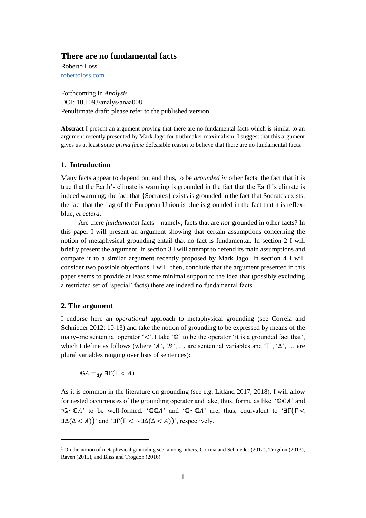# **There are no fundamental facts**

Roberto Loss [robertoloss.com](mailto:robertoloss@gmail.com)

Forthcoming in *Analysis* DOI: 10.1093/analys/anaa008 Penultimate draft: please refer to the published version

**Abstract** I present an argument proving that there are no fundamental facts which is similar to an argument recently presented by Mark Jago for truthmaker maximalism. I suggest that this argument gives us at least some *prima facie* defeasible reason to believe that there are no fundamental facts.

### **1. Introduction**

Many facts appear to depend on, and thus, to be *grounded in* other facts: the fact that it is true that the Earth's climate is warming is grounded in the fact that the Earth's climate is indeed warming; the fact that {Socrates} exists is grounded in the fact that Socrates exists; the fact that the flag of the European Union is blue is grounded in the fact that it is reflexblue, *et cetera*. 1

Are there *fundamental* facts—namely, facts that are *not* grounded in other facts? In this paper I will present an argument showing that certain assumptions concerning the notion of metaphysical grounding entail that no fact is fundamental. In section 2 I will briefly present the argument. In section 3 I will attempt to defend its main assumptions and compare it to a similar argument recently proposed by Mark Jago. In section 4 I will consider two possible objections. I will, then, conclude that the argument presented in this paper seems to provide at least some minimal support to the idea that (possibly excluding a restricted set of 'special' facts) there are indeed no fundamental facts.

# **2. The argument**

 $\overline{a}$ 

I endorse here an *operational* approach to metaphysical grounding (see Correia and Schnieder 2012: 10-13) and take the notion of grounding to be expressed by means of the many-one sentential operator ' $\lt'$ . I take ' $\mathbb{G}$ ' to be the operator 'it is a grounded fact that', which I define as follows (where 'A', 'B', ... are sentential variables and 'Γ', ' $\Delta$ ', ... are plural variables ranging over lists of sentences):

 $\mathbb{G}A =_{df} \exists \Gamma(\Gamma \leq A)$ 

As it is common in the literature on grounding (see e.g. Litland 2017, 2018), I will allow for nested occurrences of the grounding operator and take, thus, formulas like ' $\mathbb{G} \mathbb{G} A$ ' and ' $\mathbb{G} \sim \mathbb{G} A'$  to be well-formed. ' $\mathbb{G} \mathbb{G} A'$  and ' $\mathbb{G} \sim \mathbb{G} A'$  are, thus, equivalent to ' $\exists \Gamma(\Gamma \leq$  $\exists \Delta(\Delta < A)$ )' and ' $\exists \Gamma(\Gamma < \neg \exists \Delta(\Delta < A))$ ', respectively.

<sup>&</sup>lt;sup>1</sup> On the notion of metaphysical grounding see, among others, Correia and Schnieder (2012), Trogdon (2013), Raven (2015), and Bliss and Trogdon (2016)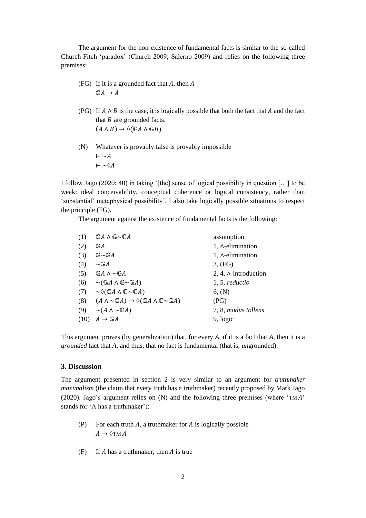The argument for the non-existence of fundamental facts is similar to the so-called Church-Fitch 'paradox' (Church 2009; Salerno 2009) and relies on the following three premises:

- (FG) If it is a grounded fact that  $A$ , then  $A$  $\mathbb{G}A \to A$
- (PG) If  $A \wedge B$  is the case, it is logically possible that both the fact that A and the fact that  $B$  are grounded facts.  $(A \wedge B) \rightarrow \Diamond (\mathbb{G} A \wedge \mathbb{G} B)$
- (N) Whatever is provably false is provably impossible  $\vdash \sim A$  $\vdash \sim \Diamond A$

I follow Jago (2020: 40) in taking '[the] sense of logical possibility in question […] to be weak: ideal conceivability, conceptual coherence or logical consistency, rather than 'substantial' metaphysical possibility'. I also take logically possible situations to respect the principle (FG).

The argument against the existence of fundamental facts is the following:

| (1)  | $G A \wedge G \sim G A$                                                                             | assumption                  |
|------|-----------------------------------------------------------------------------------------------------|-----------------------------|
| (2)  | $\mathbb{G} A$                                                                                      | 1, A-elimination            |
| (3)  | $\mathbb G {\sim} \mathbb G A$                                                                      | 1, A-elimination            |
| (4)  | $\sim$ GA                                                                                           | 3, (FG)                     |
| (5)  | $G A \wedge \sim G A$                                                                               | 2, 4, $\land$ -introduction |
| (6)  | $\sim$ (GA $\wedge$ G $\sim$ GA)                                                                    | 1, 5, reduction             |
| (7)  | $\sim\Diamond$ (GA $\land$ G $\sim$ GA)                                                             | 6, (N)                      |
| (8)  | $(A \wedge \neg \mathbb{G}A) \rightarrow \Diamond (\mathbb{G}A \wedge \mathbb{G} \neg \mathbb{G}A)$ | (PG)                        |
| (9)  | $\sim(A \wedge \sim \mathbb{G}A)$                                                                   | 7, 8, modus tollens         |
| (10) | $A \to \mathbb{G}A$                                                                                 | 9, logic                    |

This argument proves (by generalization) that, for every *A*, if it is a fact that *A*, then it is a *grounded* fact that *A*, and thus, that no fact is fundamental (that is, *un*grounded).

# **3. Discussion**

The argument presented in section 2 is very similar to an argument for *truthmaker maximalism* (the claim that every truth has a truthmaker) recently proposed by Mark Jago (2020). Jago's argument relies on  $(N)$  and the following three premises (where 'TMA' stands for 'A has a truthmaker'):

- (P) For each truth A, a truthmaker for A is logically possible  $A \rightarrow \Diamond TM A$
- (F) If  $A$  has a truthmaker, then  $A$  is true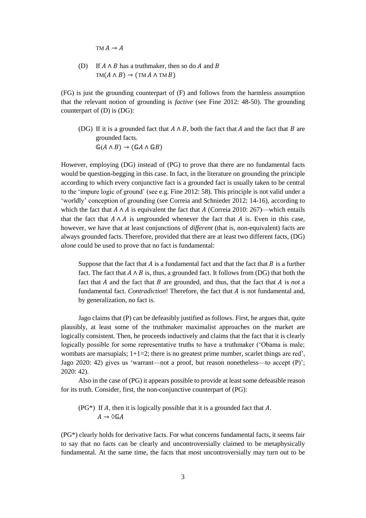$TM A \rightarrow A$ 

(D) If  $A \wedge B$  has a truthmaker, then so do A and B  $TM(A \wedge B) \rightarrow (TM A \wedge TM B)$ 

(FG) is just the grounding counterpart of (F) and follows from the harmless assumption that the relevant notion of grounding is *factive* (see Fine 2012: 48-50). The grounding counterpart of (D) is (DG):

(DG) If it is a grounded fact that  $A \wedge B$ , both the fact that  $A$  and the fact that  $B$  are grounded facts.  $\mathbb{G}(A \wedge B) \rightarrow (\mathbb{G}A \wedge \mathbb{G}B)$ 

However, employing (DG) instead of (PG) to prove that there are no fundamental facts would be question-begging in this case. In fact, in the literature on grounding the principle according to which every conjunctive fact is a grounded fact is usually taken to be central to the 'impure logic of ground' (see e.g. Fine 2012: 58). This principle is not valid under a 'worldly' conception of grounding (see Correia and Schnieder 2012: 14-16), according to which the fact that  $A \wedge A$  is equivalent the fact that A (Correia 2010: 267)—which entails that the fact that  $A \wedge A$  is *un*grounded whenever the fact that  $\overline{A}$  is. Even in this case, however, we have that at least conjunctions of *different* (that is, non-equivalent) facts are always grounded facts. Therefore, provided that there are at least two different facts, (DG) *alone* could be used to prove that no fact is fundamental:

Suppose that the fact that  $A$  is a fundamental fact and that the fact that  $B$  is a further fact. The fact that  $A \wedge B$  is, thus, a grounded fact. It follows from (DG) that both the fact that  $A$  and the fact that  $B$  are grounded, and thus, that the fact that  $A$  is *not* a fundamental fact. *Contradiction*! Therefore, the fact that A is not fundamental and, by generalization, no fact is.

Jago claims that (P) can be defeasibly justified as follows. First, he argues that, quite plausibly, at least some of the truthmaker maximalist approaches on the market are logically consistent. Then, he proceeds inductively and claims that the fact that it is clearly logically possible for some representative truths to have a truthmaker ('Obama is male; wombats are marsupials;  $1+1=2$ ; there is no greatest prime number, scarlet things are red', Jago 2020: 42) gives us 'warrant—not a proof, but reason nonetheless—to accept (P)'; 2020: 42).

Also in the case of (PG) it appears possible to provide at least some defeasible reason for its truth. Consider, first, the non-conjunctive counterpart of (PG):

(PG<sup>\*</sup>) If A, then it is logically possible that it is a grounded fact that A.  $A \rightarrow \Diamond \mathbb{G}A$ 

(PG\*) clearly holds for derivative facts. For what concerns fundamental facts, it seems fair to say that no facts can be clearly and uncontroversially claimed to be metaphysically fundamental. At the same time, the facts that most uncontroversially may turn out to be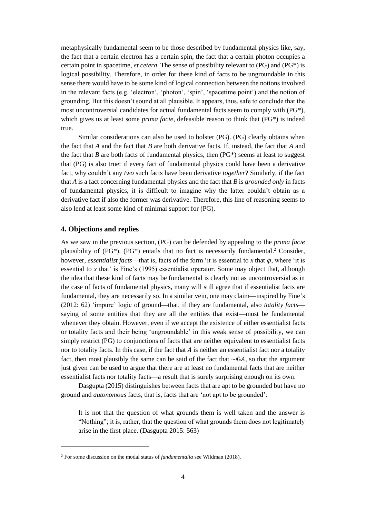metaphysically fundamental seem to be those described by fundamental physics like, say, the fact that a certain electron has a certain spin, the fact that a certain photon occupies a certain point in spacetime, *et cetera*. The sense of possibility relevant to (PG) and (PG\*) is logical possibility. Therefore, in order for these kind of facts to be ungroundable in this sense there would have to be some kind of logical connection between the notions involved in the relevant facts (e.g. 'electron', 'photon', 'spin', 'spacetime point') and the notion of grounding. But this doesn't sound at all plausible. It appears, thus, safe to conclude that the most uncontroversial candidates for actual fundamental facts seem to comply with (PG\*), which gives us at least some *prima facie*, defeasible reason to think that (PG\*) is indeed true.

Similar considerations can also be used to bolster (PG). (PG) clearly obtains when the fact that *A* and the fact that *B* are both derivative facts. If, instead, the fact that *A* and the fact that *B* are both facts of fundamental physics, then (PG\*) seems at least to suggest that (PG) is also true: if every fact of fundamental physics could have been a derivative fact, why couldn't any *two* such facts have been derivative *together*? Similarly, if the fact that *A* is a fact concerning fundamental physics and the fact that *B* is *grounded only* in facts of fundamental physics, it is difficult to imagine why the latter couldn't obtain as a derivative fact if also the former was derivative. Therefore, this line of reasoning seems to also lend at least some kind of minimal support for (PG).

## **4. Objections and replies**

l

As we saw in the previous section, (PG) can be defended by appealing to the *prima facie* plausibility of (PG\*). (PG\*) entails that no fact is necessarily fundamental. <sup>2</sup> Consider, however, *essentialist facts*—that is, facts of the form 'it is essential to *x* that  $\varphi$ , where 'it is essential to *x* that' is Fine's (1995) essentialist operator. Some may object that, although the idea that these kind of facts may be fundamental is clearly not as uncontroversial as in the case of facts of fundamental physics, many will still agree that if essentialist facts are fundamental, they are necessarily so. In a similar vein, one may claim—inspired by Fine's (2012: 62) 'impure' logic of ground—that, if they are fundamental, also *totality facts* saying of some entities that they are all the entities that exist—must be fundamental whenever they obtain. However, even if we accept the existence of either essentialist facts or totality facts and their being 'ungroundable' in this weak sense of possibility, we can simply restrict (PG) to conjunctions of facts that are neither equivalent to essentialist facts nor to totality facts. In this case, if the fact that  $A$  is neither an essentialist fact nor a totality fact, then most plausibly the same can be said of the fact that  $\sim \mathbb{G}A$ , so that the argument just given can be used to argue that there are at least no fundamental facts that are neither essentialist facts nor totality facts—a result that is surely surprising enough on its own.

Dasgupta (2015) distinguishes between facts that are apt to be grounded but have no ground and *autonomous* facts, that is, facts that are 'not apt to be grounded':

It is not that the question of what grounds them is well taken and the answer is "Nothing"; it is, rather, that the question of what grounds them does not legitimately arise in the first place. (Dasgupta 2015: 563)

<sup>2</sup> For some discussion on the modal status of *fundamentalia* see Wildman (2018).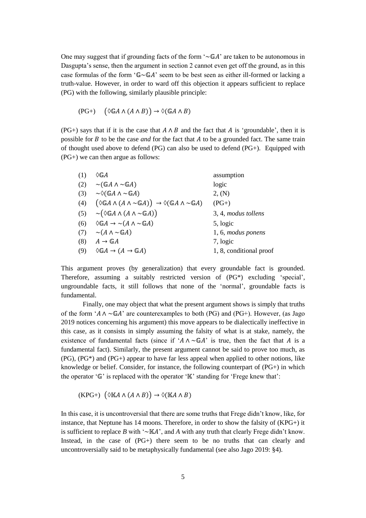One may suggest that if grounding facts of the form  $\sim$  GA' are taken to be autonomous in Dasgupta's sense, then the argument in section 2 cannot even get off the ground, as in this case formulas of the form ' $\mathbb{G}\sim \mathbb{G}A$ ' seem to be best seen as either ill-formed or lacking a truth-value. However, in order to ward off this objection it appears sufficient to replace (PG) with the following, similarly plausible principle:

$$
(\mathrm{PG}+) \quad (\Diamond \mathbb{G}A \land (A \land B)) \to \Diamond (\mathbb{G}A \land B)
$$

(PG+) says that if it is the case that  $A \wedge B$  and the fact that A is 'groundable', then it is possible for *B* to be the case *and* for the fact that *A* to be a grounded fact. The same train of thought used above to defend  $(PG)$  can also be used to defend  $(PG<sub>+</sub>)$ . Equipped with (PG+) we can then argue as follows:

| (1) | ◊GA                                                                                                                     | assumption              |
|-----|-------------------------------------------------------------------------------------------------------------------------|-------------------------|
| (2) | $\sim$ (GA $\wedge \sim$ GA)                                                                                            | logic                   |
| (3) | $\sim\Diamond$ (GA $\land\sim$ GA)                                                                                      | 2, (N)                  |
| (4) | $(\Diamond \mathbb{G} A \land (A \land \sim \mathbb{G} A)) \rightarrow \Diamond (\mathbb{G} A \land \sim \mathbb{G} A)$ | $(PG+)$                 |
| (5) | $\sim (\Diamond \mathbb{G} A \wedge (A \wedge \neg \mathbb{G} A))$                                                      | 3, 4, modus tollens     |
| (6) | $\Diamond \mathbb{G} A \rightarrow \sim (A \land \sim \mathbb{G} A)$                                                    | 5, logic                |
| (7) | $\sim(A \wedge \sim \mathbb{G}A)$                                                                                       | 1, 6, modus ponens      |
| (8) | $A \to \mathbb{G}A$                                                                                                     | 7, logic                |
| (9) | $\Diamond \mathbb{G} A \rightarrow (A \rightarrow \mathbb{G} A)$                                                        | 1, 8, conditional proof |

This argument proves (by generalization) that every groundable fact is grounded. Therefore, assuming a suitably restricted version of (PG\*) excluding 'special', ungroundable facts, it still follows that none of the 'normal', groundable facts is fundamental.

Finally, one may object that what the present argument shows is simply that truths of the form ' $A \wedge \neg \mathbb{G}A$ ' are counterexamples to both (PG) and (PG+). However, (as Jago 2019 notices concerning his argument) this move appears to be dialectically ineffective in this case, as it consists in simply assuming the falsity of what is at stake, namely, the existence of fundamental facts (since if ' $A \wedge \neg \mathbb{G} A$ ' is true, then the fact that A is a fundamental fact). Similarly, the present argument cannot be said to prove too much, as (PG), (PG\*) and (PG+) appear to have far less appeal when applied to other notions, like knowledge or belief. Consider, for instance, the following counterpart of  $(PG<sub>+</sub>)$  in which the operator  $\mathcal{C}$  is replaced with the operator  $\mathcal{C}$  is standing for 'Frege knew that':

 $(KPG+)$   $(\Diamond \mathbb{K}A \land (A \land B)) \rightarrow \Diamond (\mathbb{K}A \land B)$ 

In this case, it is uncontroversial that there are some truths that Frege didn't know, like, for instance, that Neptune has 14 moons. Therefore, in order to show the falsity of (KPG+) it is sufficient to replace *B* with ' $\sim$ KA', and *A* with any truth that clearly Frege didn't know. Instead, in the case of (PG+) there seem to be no truths that can clearly and uncontroversially said to be metaphysically fundamental (see also Jago 2019: §4).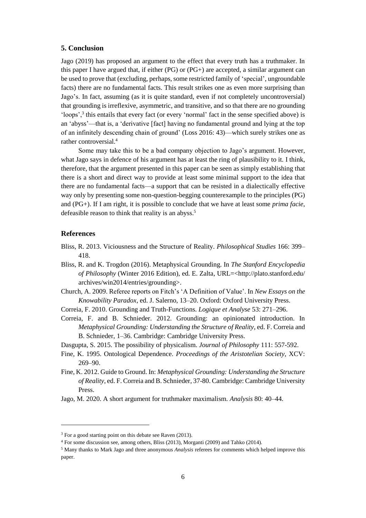### **5. Conclusion**

Jago (2019) has proposed an argument to the effect that every truth has a truthmaker. In this paper I have argued that, if either  $(PG)$  or  $(PG<sup>+</sup>)$  are accepted, a similar argument can be used to prove that (excluding, perhaps, some restricted family of 'special', ungroundable facts) there are no fundamental facts. This result strikes one as even more surprising than Jago's. In fact, assuming (as it is quite standard, even if not completely uncontroversial) that grounding is irreflexive, asymmetric, and transitive, and so that there are no grounding 'loops',<sup>3</sup> this entails that every fact (or every 'normal' fact in the sense specified above) is an 'abyss'—that is, a 'derivative [fact] having no fundamental ground and lying at the top of an infinitely descending chain of ground' (Loss 2016: 43)—which surely strikes one as rather controversial.<sup>4</sup>

Some may take this to be a bad company objection to Jago's argument. However, what Jago says in defence of his argument has at least the ring of plausibility to it. I think, therefore, that the argument presented in this paper can be seen as simply establishing that there is a short and direct way to provide at least some minimal support to the idea that there are no fundamental facts—a support that can be resisted in a dialectically effective way only by presenting some non-question-begging counterexample to the principles (PG) and (PG+). If I am right, it is possible to conclude that we have at least some *prima facie*, defeasible reason to think that reality is an abyss.<sup>5</sup>

### **References**

l

- Bliss, R. 2013. Viciousness and the Structure of Reality. *Philosophical Studies* 166: 399– 418.
- Bliss, R. and K. Trogdon (2016). Metaphysical Grounding. In *The Stanford Encyclopedia of Philosophy* (Winter 2016 Edition), ed. E. Zalta, URL=<http://plato.stanford.edu/ archives/win2014/entries/grounding>.
- Church, A. 2009. Referee reports on Fitch's 'A Definition of Value'. In *New Essays on the Knowability Paradox*, ed. J. Salerno, 13–20. Oxford: Oxford University Press.
- Correia, F. 2010. Grounding and Truth-Functions. *Logique et Analyse* 53: 271–296.
- Correia, F. and B. Schnieder. 2012. Grounding: an opinionated introduction. In *Metaphysical Grounding: Understanding the Structure of Reality*, ed. F. Correia and B. Schnieder, 1–36. Cambridge: Cambridge University Press.
- Dasgupta, S. 2015. The possibility of physicalism. *Journal of Philosophy* 111: 557-592.
- Fine, K. 1995. Ontological Dependence. *Proceedings of the Aristotelian Society*, XCV: 269–90.
- Fine, K. 2012. Guide to Ground. In: *Metaphysical Grounding: Understanding the Structure of Reality*, ed. F. Correia and B. Schnieder, 37-80. Cambridge: Cambridge University Press.
- Jago, M. 2020. A short argument for truthmaker maximalism. *Analysis* 80: 40–44.

 $3$  For a good starting point on this debate see Raven (2013).

<sup>4</sup> For some discussion see, among others, Bliss (2013), Morganti (2009) and Tahko (2014).

<sup>5</sup> Many thanks to Mark Jago and three anonymous *Analysis* referees for comments which helped improve this paper.